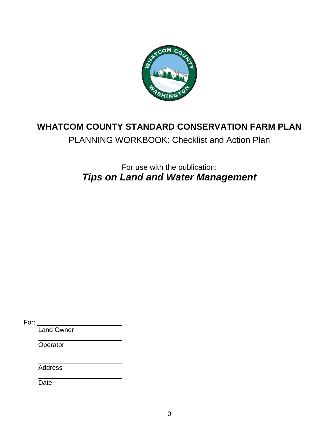

### **WHATCOM COUNTY STANDARD CONSERVATION FARM PLAN**

PLANNING WORKBOOK: Checklist and Action Plan

For use with the publication: *Tips on Land and Water Management*

For:

Land Owner

**Operator** 

**Address** 

**Date**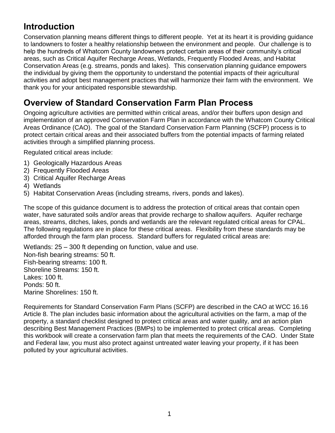### **Introduction**

Conservation planning means different things to different people. Yet at its heart it is providing guidance to landowners to foster a healthy relationship between the environment and people. Our challenge is to help the hundreds of Whatcom County landowners protect certain areas of their community's critical areas, such as Critical Aquifer Recharge Areas, Wetlands, Frequently Flooded Areas, and Habitat Conservation Areas (e.g. streams, ponds and lakes). This conservation planning guidance empowers the individual by giving them the opportunity to understand the potential impacts of their agricultural activities and adopt best management practices that will harmonize their farm with the environment. We thank you for your anticipated responsible stewardship.

### **Overview of Standard Conservation Farm Plan Process**

Ongoing agriculture activities are permitted within critical areas, and/or their buffers upon design and implementation of an approved Conservation Farm Plan in accordance with the Whatcom County Critical Areas Ordinance (CAO). The goal of the Standard Conservation Farm Planning (SCFP) process is to protect certain critical areas and their associated buffers from the potential impacts of farming related activities through a simplified planning process.

Regulated critical areas include:

- 1) Geologically Hazardous Areas
- 2) Frequently Flooded Areas
- 3) Critical Aquifer Recharge Areas
- 4) Wetlands
- 5) Habitat Conservation Areas (including streams, rivers, ponds and lakes).

The scope of this guidance document is to address the protection of critical areas that contain open water, have saturated soils and/or areas that provide recharge to shallow aquifers. Aquifer recharge areas, streams, ditches, lakes, ponds and wetlands are the relevant regulated critical areas for CPAL. The following regulations are in place for these critical areas. Flexibility from these standards may be afforded through the farm plan process. Standard buffers for regulated critical areas are:

Wetlands: 25 – 300 ft depending on function, value and use.

Non-fish bearing streams: 50 ft. Fish-bearing streams: 100 ft. Shoreline Streams: 150 ft. Lakes: 100 ft. Ponds: 50 ft. Marine Shorelines: 150 ft.

Requirements for Standard Conservation Farm Plans (SCFP) are described in the CAO at WCC 16.16 Article 8. The plan includes basic information about the agricultural activities on the farm, a map of the property, a standard checklist designed to protect critical areas and water quality, and an action plan describing Best Management Practices (BMPs) to be implemented to protect critical areas. Completing this workbook will create a conservation farm plan that meets the requirements of the CAO. Under State and Federal law, you must also protect against untreated water leaving your property, if it has been polluted by your agricultural activities.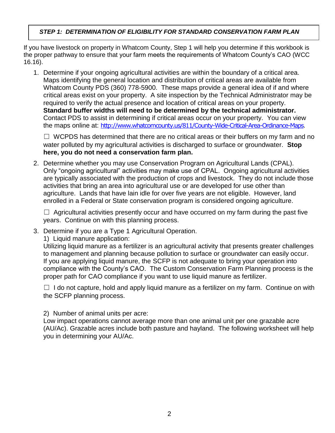#### *STEP 1: DETERMINATION OF ELIGIBILITY FOR STANDARD CONSERVATION FARM PLAN*

If you have livestock on property in Whatcom County, Step 1 will help you determine if this workbook is the proper pathway to ensure that your farm meets the requirements of Whatcom County's CAO (WCC 16.16).

1. Determine if your ongoing agricultural activities are within the boundary of a critical area. Maps identifying the general location and distribution of critical areas are available from Whatcom County PDS (360) 778-5900. These maps provide a general idea of if and where critical areas exist on your property. A site inspection by the Technical Administrator may be required to verify the actual presence and location of critical areas on your property. **Standard buffer widths will need to be determined by the technical administrator.** Contact PDS to assist in determining if critical areas occur on your property. You can view the maps online at: <http://www.whatcomcounty.us/811/County-Wide-Critical-Area-Ordinance-Maps>.

 $\Box$  WCPDS has determined that there are no critical areas or their buffers on my farm and no water polluted by my agricultural activities is discharged to surface or groundwater. **Stop here, you do not need a conservation farm plan.**

2. Determine whether you may use Conservation Program on Agricultural Lands (CPAL). Only "ongoing agricultural" activities may make use of CPAL. Ongoing agricultural activities are typically associated with the production of crops and livestock. They do not include those activities that bring an area into agricultural use or are developed for use other than agriculture. Lands that have lain idle for over five years are not eligible. However, land enrolled in a Federal or State conservation program is considered ongoing agriculture.

 $\Box$  Agricultural activities presently occur and have occurred on my farm during the past five years. Continue on with this planning process.

3. Determine if you are a Type 1 Agricultural Operation.

1) Liquid manure application:

Utilizing liquid manure as a fertilizer is an agricultural activity that presents greater challenges to management and planning because pollution to surface or groundwater can easily occur. If you are applying liquid manure, the SCFP is not adequate to bring your operation into compliance with the County's CAO. The Custom Conservation Farm Planning process is the proper path for CAO compliance if you want to use liquid manure as fertilizer.

 $\Box$  I do not capture, hold and apply liquid manure as a fertilizer on my farm. Continue on with the SCFP planning process.

2) Number of animal units per acre:

Low impact operations cannot average more than one animal unit per one grazable acre (AU/Ac). Grazable acres include both pasture and hayland. The following worksheet will help you in determining your AU/Ac.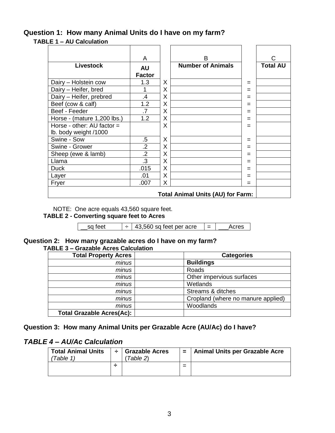#### **Question 1: How many Animal Units do I have on my farm?**

#### **TABLE 1 – AU Calculation**

|                             | A               |   | B                                        |     | C               |
|-----------------------------|-----------------|---|------------------------------------------|-----|-----------------|
| <b>Livestock</b>            | <b>AU</b>       |   | <b>Number of Animals</b>                 |     | <b>Total AU</b> |
|                             | <b>Factor</b>   |   |                                          |     |                 |
| Dairy - Holstein cow        | 1.3             | X |                                          | =   |                 |
| Dairy - Heifer, bred        |                 | X |                                          | $=$ |                 |
| Dairy - Heifer, prebred     | .4              | X |                                          | =   |                 |
| Beef (cow & calf)           | 1.2             | X |                                          | =   |                 |
| Beef - Feeder               | $\overline{.7}$ | X |                                          | =   |                 |
| Horse - (mature 1,200 lbs.) | 1.2             | X |                                          | $=$ |                 |
| Horse - other: AU factor =  |                 | X |                                          | =   |                 |
| lb. body weight /1000       |                 |   |                                          |     |                 |
| Swine - Sow                 | $.5\,$          | X |                                          | =   |                 |
| Swine - Grower              | $\overline{2}$  | X |                                          | $=$ |                 |
| Sheep (ewe & lamb)          | $\overline{2}$  | X |                                          | $=$ |                 |
| Llama                       | .3              | X |                                          | =   |                 |
| <b>Duck</b>                 | .015            | X |                                          | =   |                 |
| Layer                       | .01             | X |                                          |     |                 |
| Fryer                       | .007            | X |                                          | =   |                 |
|                             |                 |   | <b>Total Animal Units (AU) for Farm:</b> |     |                 |

NOTE: One acre equals 43,560 square feet.

#### **TABLE 2 - Converting square feet to Acres**

| sa feet | $+$   43,560 sq feet per acre | Acres |
|---------|-------------------------------|-------|
|         |                               |       |

#### **Question 2: How many grazable acres do I have on my farm? TABLE 3 – Grazable Acres Calculation**

| <b>Total Property Acres</b>      | <b>Categories</b>                  |
|----------------------------------|------------------------------------|
| minus                            | <b>Buildings</b>                   |
| minus                            | Roads                              |
| minus                            | Other impervious surfaces          |
| minus                            | Wetlands                           |
| minus                            | Streams & ditches                  |
| minus                            | Cropland (where no manure applied) |
| minus                            | Woodlands                          |
| <b>Total Grazable Acres(Ac):</b> |                                    |

#### **Question 3: How many Animal Units per Grazable Acre (AU/Ac) do I have?**

#### *TABLE 4 – AU/Ac Calculation*

| <b>Total Animal Units</b><br>Table 1. | ÷ | <b>Grazable Acres</b><br>Table 2) | $\equiv$ | <b>Animal Units per Grazable Acre</b> |
|---------------------------------------|---|-----------------------------------|----------|---------------------------------------|
|                                       |   |                                   | =        |                                       |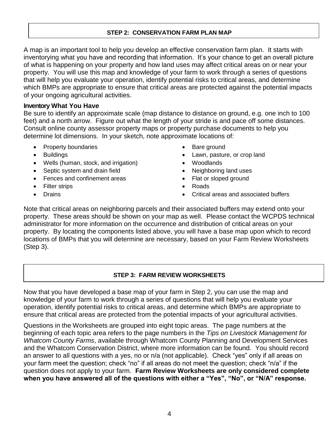#### **STEP 2: CONSERVATION FARM PLAN MAP**

A map is an important tool to help you develop an effective conservation farm plan. It starts with inventorying what you have and recording that information. It's your chance to get an overall picture of what is happening on your property and how land uses may affect critical areas on or near your property. You will use this map and knowledge of your farm to work through a series of questions that will help you evaluate your operation, identify potential risks to critical areas, and determine which BMPs are appropriate to ensure that critical areas are protected against the potential impacts of your ongoing agricultural activities.

#### **Inventory What You Hav***e*

Be sure to identify an approximate scale (map distance to distance on ground, e.g. one inch to 100 feet) and a north arrow. Figure out what the length of your stride is and pace off some distances. Consult online county assessor property maps or property purchase documents to help you determine lot dimensions. In your sketch, note approximate locations of:

- Property boundaries **Contact Structure Contact Contact Contact Contact Contact Contact Contact Contact Contact Contact Contact Contact Contact Contact Contact Contact Contact Contact Contact Contact Contact Contact Conta**
- 
- Wells (human, stock, and irrigation) Woodlands
- Septic system and drain field **Constant Constant Constant Constant Constant Constant Constant Constant Constant Constant Constant Constant Constant Constant Constant Constant Constant Constant Constant Constant Constant**
- Fences and confinement areas **Exercise Section** Flat or sloped ground
- Filter strips **and a strip of the strips** and a strip of the Roads
- 
- 
- Buildings Lawn, pasture, or crop land
	-
	-
	-
	-
- Drains **Critical areas and associated buffers •** Critical areas and associated buffers

Note that critical areas on neighboring parcels and their associated buffers may extend onto your property. These areas should be shown on your map as well. Please contact the WCPDS technical administrator for more information on the occurrence and distribution of critical areas on your property. By locating the components listed above, you will have a base map upon which to record locations of BMPs that you will determine are necessary, based on your Farm Review Worksheets (Step 3).

#### **STEP 3: FARM REVIEW WORKSHEETS**

Now that you have developed a base map of your farm in Step 2, you can use the map and knowledge of your farm to work through a series of questions that will help you evaluate your operation, identify potential risks to critical areas, and determine which BMPs are appropriate to ensure that critical areas are protected from the potential impacts of your agricultural activities.

Questions in the Worksheets are grouped into eight topic areas. The page numbers at the beginning of each topic area refers to the page numbers in the *Tips on Livestock Management for Whatcom County Farms*, available through Whatcom County Planning and Development Services and the Whatcom Conservation District, where more information can be found. You should record an answer to all questions with a yes, no or n/a (not applicable). Check "yes" only if all areas on your farm meet the question; check "no" if all areas do not meet the question; check "n/a" if the question does not apply to your farm. **Farm Review Worksheets are only considered complete when you have answered all of the questions with either a "Yes", "No", or "N/A" response.**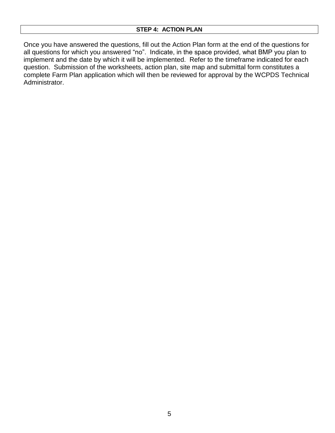Once you have answered the questions, fill out the Action Plan form at the end of the questions for all questions for which you answered "no". Indicate, in the space provided, what BMP you plan to implement and the date by which it will be implemented. Refer to the timeframe indicated for each question. Submission of the worksheets, action plan, site map and submittal form constitutes a complete Farm Plan application which will then be reviewed for approval by the WCPDS Technical Administrator.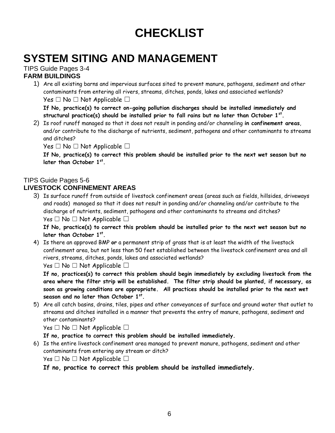# **CHECKLIST**

## **SYSTEM SITING AND MANAGEMENT**

#### TIPS Guide Pages 3-4 **FARM BUILDINGS**

1) Are all existing barns and impervious surfaces sited to prevent manure, pathogens, sediment and other contaminants from entering all rivers, streams, ditches, ponds, lakes and associated wetlands? Yes  $\Box$  No  $\Box$  Not Applicable  $\Box$ 

**If No, practice(s) to correct on-going pollution discharges should be installed immediately and structural practice(s) should be installed prior to fall rains but no later than October 1st .**

2) Is roof runoff managed so that it does not result in ponding and/or channeling **in confinement areas**, and/or contribute to the discharge of nutrients, sediment, pathogens and other contaminants to streams and ditches?

Yes  $\Box$  No  $\Box$  Not Applicable  $\Box$ 

**If No, practice(s) to correct this problem should be installed prior to the next wet season but no later than October 1st .**

#### TIPS Guide Pages 5-6

#### **LIVESTOCK CONFINEMENT AREAS**

3) Is surface runoff from outside of livestock confinement areas (areas such as fields, hillsides, driveways and roads) managed so that it does not result in ponding and/or channeling and/or contribute to the discharge of nutrients, sediment, pathogens and other contaminants to streams and ditches? Yes  $\Box$  No  $\Box$  Not Applicable  $\Box$ 

**If No, practice(s) to correct this problem should be installed prior to the next wet season but no later than October 1st .**

4) Is there an approved BMP **or** a permanent strip of grass that is at least the width of the livestock confinement area, but not less than 50 feet established between the livestock confinement area and all rivers, streams, ditches, ponds, lakes and associated wetlands?

Yes  $\Box$  No  $\Box$  Not Applicable  $\Box$ 

**If no, practices(s) to correct this problem should begin immediately by excluding livestock from the area where the filter strip will be established. The filter strip should be planted, if necessary, as soon as growing conditions are appropriate. All practices should be installed prior to the next wet season and no later than October 1st .**

5) Are all catch basins, drains, tiles, pipes and other conveyances of surface and ground water that outlet to streams and ditches installed in a manner that prevents the entry of manure, pathogens, sediment and other contaminants?

Yes  $\Box$  No  $\Box$  Not Applicable  $\Box$ 

**If no, practice to correct this problem should be installed immediately.**

6) Is the entire livestock confinement area managed to prevent manure, pathogens, sediment and other contaminants from entering any stream or ditch?

Yes □ No □ Not Applicable □

**If no, practice to correct this problem should be installed immediately.**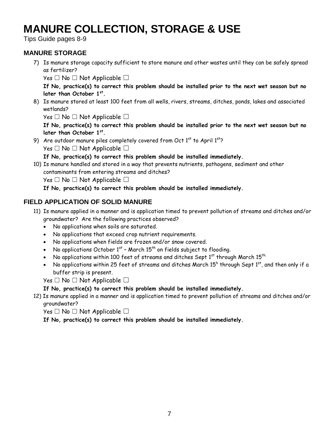## **MANURE COLLECTION, STORAGE & USE**

Tips Guide pages 8-9

#### **MANURE STORAGE**

7) Is manure storage capacity sufficient to store manure and other wastes until they can be safely spread as fertilizer?

Yes  $\Box$  No  $\Box$  Not Applicable  $\Box$ 

**If No, practice(s) to correct this problem should be installed prior to the next wet season but no later than October 1st .**

8) Is manure stored at least 100 feet from all wells, rivers, streams, ditches, ponds, lakes and associated wetlands?

Yes  $\Box$  No  $\Box$  Not Applicable  $\Box$ 

**If No, practice(s) to correct this problem should be installed prior to the next wet season but no later than October 1st .** 

9) Are outdoor manure piles completely covered from Oct  $1<sup>st</sup>$  to April  $1<sup>st</sup>$ ?

 $Yes \Box No \Box Not Applied be \Box$ 

**If No, practice(s) to correct this problem should be installed immediately.**

10) Is manure handled and stored in a way that prevents nutrients, pathogens, sediment and other contaminants from entering streams and ditches?

Yes  $\Box$  No  $\Box$  Not Applicable  $\Box$ 

**If No, practice(s) to correct this problem should be installed immediately.**

#### **FIELD APPLICATION OF SOLID MANURE**

- 11) Is manure applied in a manner and is application timed to prevent pollution of streams and ditches and/or groundwater? Are the following practices observed?
	- No applications when soils are saturated.
	- No applications that exceed crop nutrient requirements.
	- No applications when fields are frozen and/or snow covered.
	- No applications October 1st March 15<sup>th</sup> on fields subject to flooding.
	- $\bullet$  No applications within 100 feet of streams and ditches Sept 1st through March 15th.
	- No applications within 25 feet of streams and ditches March  $15^{\mathsf{h}}$  through Sept  $1^{\mathsf{st}}$ , and then only if a buffer strip is present.

Yes  $\Box$  No  $\Box$  Not Applicable  $\Box$ 

#### **If No, practice(s) to correct this problem should be installed immediately.**

12) Is manure applied in a manner and is application timed to prevent pollution of streams and ditches and/or groundwater?

Yes  $\Box$  No  $\Box$  Not Applicable  $\Box$ 

**If No, practice(s) to correct this problem should be installed immediately.**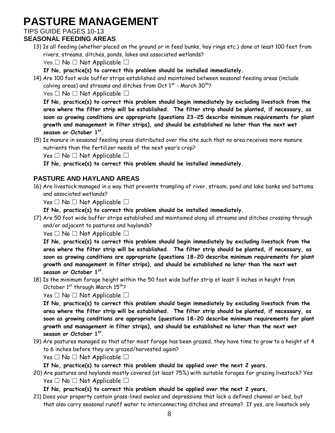## **PASTURE MANAGEMENT**

TIPS GUIDE PAGES 10-13

#### **SEASONAL FEEDING AREAS**

13) Is all feeding (whether placed on the ground or in feed bunks, hay rings etc.) done at least 100 feet from rivers, streams, ditches, ponds, lakes and associated wetlands?

Yes  $\Box$  No  $\Box$  Not Applicable  $\Box$ 

**If No, practice(s) to correct this problem should be installed immediately.**

14) Are 100 foot wide buffer strips established and maintained between seasonal feeding areas (include calving areas) and streams and ditches from Oct  $1^\text{st}$  - March 30 $^\text{th}$ ?

Yes  $\Box$  No  $\Box$  Not Applicable  $\Box$ 

**If No, practice(s) to correct this problem should begin immediately by excluding livestock from the area where the filter strip will be established. The filter strip should be planted, if necessary, as soon as growing conditions are appropriate (questions 23-25 describe minimum requirements for plant growth and management in filter strips), and should be established no later than the next wet season or October 1st .**

15) Is manure in seasonal feeding areas distributed over the site such that no area receives more manure nutrients than the fertilizer needs of the next year's crop?

Yes  $\Box$  No  $\Box$  Not Applicable  $\Box$ 

**If No, practice(s) to correct this problem should be installed immediately.**

#### **PASTURE AND HAYLAND AREAS**

16) Are livestock managed in a way that prevents trampling of river, stream, pond and lake banks and bottoms and associated wetlands?

Yes  $\Box$  No  $\Box$  Not Applicable  $\Box$ 

- **If No, practice(s) to correct this problem should be installed immediately.**
- 17) Are 50 foot wide buffer strips established and maintained along all streams and ditches crossing through and/or adjacent to pastures and haylands?

Yes  $\Box$  No  $\Box$  Not Applicable  $\Box$ 

**If No, practice(s) to correct this problem should begin immediately by excluding livestock from the area where the filter strip will be established. The filter strip should be planted, if necessary, as soon as growing conditions are appropriate (questions 18-20 describe minimum requirements for plant growth and management in filter strips), and should be established no later than the next wet season or October 1st .**

18) Is the minimum forage height within the 50 foot wide buffer strip at least 3 inches in height from October  $1<sup>st</sup>$  through March  $15<sup>th</sup>$ ?

Yes  $\Box$  No  $\Box$  Not Applicable  $\Box$ 

**If No, practice(s) to correct this problem should begin immediately by excluding livestock from the area where the filter strip will be established. The filter strip should be planted, if necessary, as soon as growing conditions are appropriate (questions 18-20 describe minimum requirements for plant growth and management in filter strips), and should be established no later than the next wet season or October 1st .**

19) Are pastures managed so that after most forage has been grazed, they have time to grow to a height of 4 to 6 inches before they are grazed/harvested again?

Yes  $\Box$  No  $\Box$  Not Applicable  $\Box$ 

**If No, practice(s) to correct this problem should be applied over the next 2 years.**

20) Are pastures and haylands mostly covered (at least 75%) with suitable forages for grazing livestock? Yes Yes  $\Box$  No  $\Box$  Not Applicable  $\Box$ 

**If No, practice(s) to correct this problem should be applied over the next 2 years.**

21) Does your property contain grass-lined swales and depressions that lack a defined channel or bed, but that also carry seasonal runoff water to interconnecting ditches and streams? If yes, are livestock only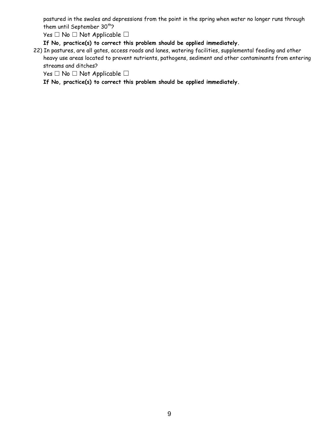pastured in the swales and depressions from the point in the spring when water no longer runs through them until September  $30<sup>th</sup>$ ?

Yes  $\Box$  No  $\Box$  Not Applicable  $\Box$ 

**If No, practice(s) to correct this problem should be applied immediately.**

22) In pastures, are all gates, access roads and lanes, watering facilities, supplemental feeding and other heavy use areas located to prevent nutrients, pathogens, sediment and other contaminants from entering streams and ditches?

Yes  $\Box$  No  $\Box$  Not Applicable  $\Box$ 

**If No, practice(s) to correct this problem should be applied immediately.**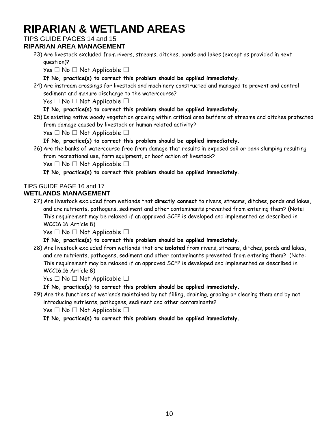## **RIPARIAN & WETLAND AREAS**

#### TIPS GUIDE PAGES 14 and 15

#### **RIPARIAN AREA MANAGEMENT**

23) Are livestock excluded from rivers, streams, ditches, ponds and lakes (except as provided in next question)?

Yes  $\Box$  No  $\Box$  Not Applicable  $\Box$ 

**If No, practice(s) to correct this problem should be applied immediately.**

24) Are instream crossings for livestock and machinery constructed and managed to prevent and control sediment and manure discharge to the watercourse?

Yes  $\Box$  No  $\Box$  Not Applicable  $\Box$ 

#### **If No, practice(s) to correct this problem should be applied immediately.**

25) Is existing native woody vegetation growing within critical area buffers of streams and ditches protected from damage caused by livestock or human related activity?

 $Yes \Box No \Box Not Applicable \Box$ 

#### **If No, practice(s) to correct this problem should be applied immediately.**

26) Are the banks of watercourse free from damage that results in exposed soil or bank slumping resulting from recreational use, farm equipment, or hoof action of livestock?

Yes  $\Box$  No  $\Box$  Not Applicable  $\Box$ 

**If No, practice(s) to correct this problem should be applied immediately.**

### TIPS GUIDE PAGE 16 and 17

#### **WETLANDS MANAGEMENT**

27) Are livestock excluded from wetlands that **directly connect** to rivers, streams, ditches, ponds and lakes, and are nutrients, pathogens, sediment and other contaminants prevented from entering them? (Note: This requirement may be relaxed if an approved SCFP is developed and implemented as described in WCC16.16 Article 8)

 $Yes \Box No \Box Not Applicable \Box$ 

#### **If No, practice(s) to correct this problem should be applied immediately.**

28) Are livestock excluded from wetlands that are **isolated** from rivers, streams, ditches, ponds and lakes, and are nutrients, pathogens, sediment and other contaminants prevented from entering them? (Note: This requirement may be relaxed if an approved SCFP is developed and implemented as described in WCC16.16 Article 8)

Yes  $\Box$  No  $\Box$  Not Applicable  $\Box$ 

**If No, practice(s) to correct this problem should be applied immediately.**

29) Are the functions of wetlands maintained by not filling, draining, grading or clearing them and by not introducing nutrients, pathogens, sediment and other contaminants?

Yes □ No □ Not Applicable □

**If No, practice(s) to correct this problem should be applied immediately.**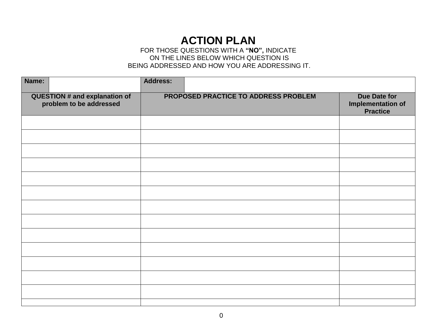### **ACTION PLAN**

#### FOR THOSE QUESTIONS WITH A **"NO",** INDICATE ON THE LINES BELOW WHICH QUESTION IS BEING ADDRESSED AND HOW YOU ARE ADDRESSING IT.

| Name:                                                           | <b>Address:</b>                      |                                                             |
|-----------------------------------------------------------------|--------------------------------------|-------------------------------------------------------------|
| <b>QUESTION # and explanation of</b><br>problem to be addressed | PROPOSED PRACTICE TO ADDRESS PROBLEM | Due Date for<br><b>Implementation of</b><br><b>Practice</b> |
|                                                                 |                                      |                                                             |
|                                                                 |                                      |                                                             |
|                                                                 |                                      |                                                             |
|                                                                 |                                      |                                                             |
|                                                                 |                                      |                                                             |
|                                                                 |                                      |                                                             |
|                                                                 |                                      |                                                             |
|                                                                 |                                      |                                                             |
|                                                                 |                                      |                                                             |
|                                                                 |                                      |                                                             |
|                                                                 |                                      |                                                             |
|                                                                 |                                      |                                                             |
|                                                                 |                                      |                                                             |
|                                                                 |                                      |                                                             |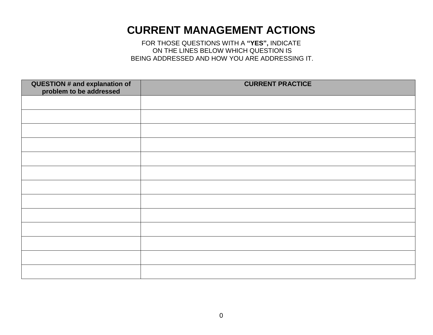### **CURRENT MANAGEMENT ACTIONS**

FOR THOSE QUESTIONS WITH A **"YES",** INDICATE ON THE LINES BELOW WHICH QUESTION IS BEING ADDRESSED AND HOW YOU ARE ADDRESSING IT.

| QUESTION # and explanation of<br>problem to be addressed | <b>CURRENT PRACTICE</b> |
|----------------------------------------------------------|-------------------------|
|                                                          |                         |
|                                                          |                         |
|                                                          |                         |
|                                                          |                         |
|                                                          |                         |
|                                                          |                         |
|                                                          |                         |
|                                                          |                         |
|                                                          |                         |
|                                                          |                         |
|                                                          |                         |
|                                                          |                         |
|                                                          |                         |